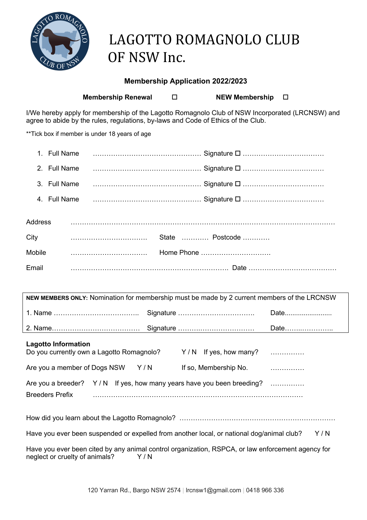

# LAGOTTO ROMAGNOLO CLUB OF NSW Inc.

### **Membership Application 2022/2023**

**Membership Renewal**   $\square$  **NEW Membership**  $\square$ 

I/We hereby apply for membership of the Lagotto Romagnolo Club of NSW Incorporated (LRCNSW) and agree to abide by the rules, regulations, by-laws and Code of Ethics of the Club.

\*\*Tick box if member is under 18 years of age

| 2. Full Name |  |                 |
|--------------|--|-----------------|
|              |  |                 |
|              |  |                 |
| Address      |  |                 |
| City         |  | State  Postcode |
| Mobile       |  | Home Phone      |
| Email        |  |                 |

| NEW MEMBERS ONLY: Nomination for membership must be made by 2 current members of the LRCNSW |  |  |  |  |
|---------------------------------------------------------------------------------------------|--|--|--|--|
|                                                                                             |  |  |  |  |
|                                                                                             |  |  |  |  |

| <b>Lagotto Information</b><br>Do you currently own a Lagotto Romagnolo? |     | $Y/N$ If yes, how many?                                               |  |
|-------------------------------------------------------------------------|-----|-----------------------------------------------------------------------|--|
| Are you a member of Dogs NSW                                            | Y/N | If so, Membership No.                                                 |  |
|                                                                         |     | Are you a breeder? Y/N If yes, how many years have you been breeding? |  |
| <b>Breeders Prefix</b>                                                  |     |                                                                       |  |

How did you learn about the Lagotto Romagnolo? ………………………………………………………………………………………

Have you ever been suspended or expelled from another local, or national dog/animal club? Y/N

Have you ever been cited by any animal control organization, RSPCA, or law enforcement agency for neglect or cruelty of animals?  $Y/N$ neglect or cruelty of animals?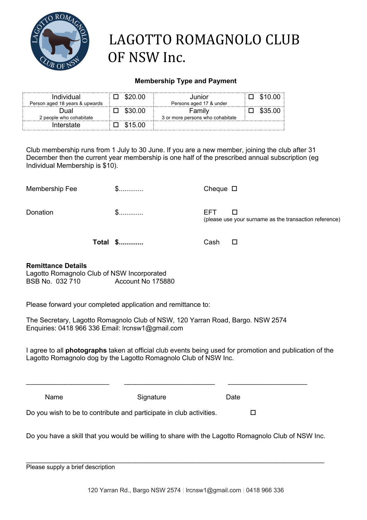

# LAGOTTO ROMAGNOLO CLUB OF NSW Inc.

### **Membership Type and Payment**

| Individual<br>Person aged 18 years & upwards |  | Junior<br>Persons aged 17 & under |  |
|----------------------------------------------|--|-----------------------------------|--|
| )ual                                         |  | Familv                            |  |
| 2 people who cohabitate                      |  | 3 or more persons who cohabitate  |  |
| Interstate                                   |  |                                   |  |

Club membership runs from 1 July to 30 June. If you are a new member, joining the club after 31 December then the current year membership is one half of the prescribed annual subscription (eg Individual Membership is \$10).

| Membership Fee | <u>William Steam</u> | Cheque $\Box$ |
|----------------|----------------------|---------------|
|                |                      |               |

Donation \$............. EFT o

(please use your surname as the transaction reference)

**Total \$.............** Cash o

### **Remittance Details**

Lagotto Romagnolo Club of NSW Incorporated BSB No. 032 710 Account No 175880

Please forward your completed application and remittance to:

The Secretary, Lagotto Romagnolo Club of NSW, 120 Yarran Road, Bargo. NSW 2574 Enquiries: 0418 966 336 Email: lrcnsw1@gmail.com

I agree to all **photographs** taken at official club events being used for promotion and publication of the Lagotto Romagnolo dog by the Lagotto Romagnolo Club of NSW Inc.

| Name                                                                | Signature | Date |  |
|---------------------------------------------------------------------|-----------|------|--|
| Do you wish to be to contribute and participate in club activities. |           |      |  |

\_\_\_\_\_\_\_\_\_\_\_\_\_\_\_\_\_\_\_\_\_\_ \_\_\_\_\_\_\_\_\_\_\_\_\_\_\_\_\_\_\_\_\_\_\_\_ \_\_\_\_\_\_\_\_\_\_\_\_\_\_\_\_\_\_\_\_\_

Do you have a skill that you would be willing to share with the Lagotto Romagnolo Club of NSW Inc.

\_\_\_\_\_\_\_\_\_\_\_\_\_\_\_\_\_\_\_\_\_\_\_\_\_\_\_\_\_\_\_\_\_\_\_\_\_\_\_\_\_\_\_\_\_\_\_\_\_\_\_\_\_\_\_\_\_\_\_\_\_\_\_\_\_\_\_\_\_\_\_\_\_\_\_\_\_\_\_

|  | Please supply a brief description |
|--|-----------------------------------|
|--|-----------------------------------|